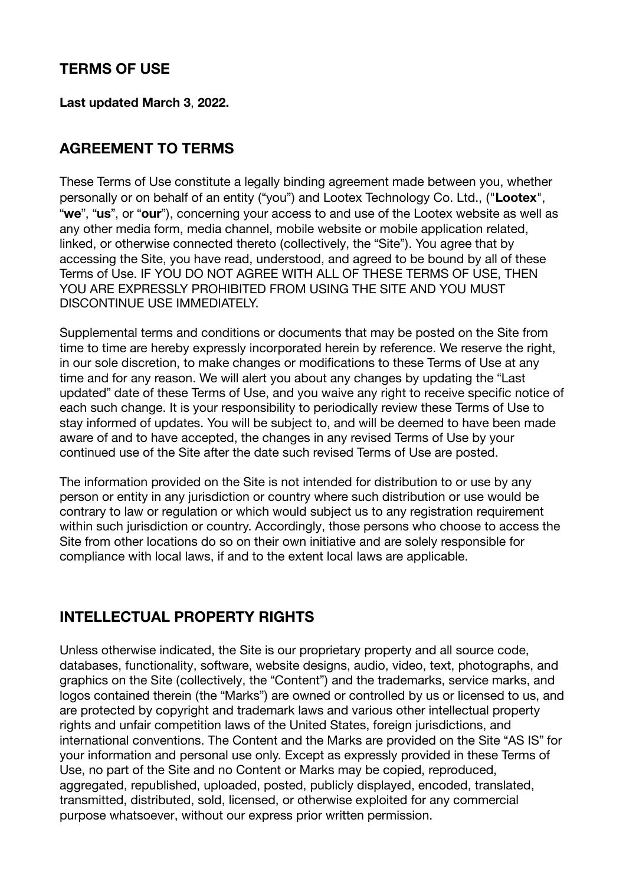### **TERMS OF USE**

#### **Last updated March 3**, **2022.**

#### **AGREEMENT TO TERMS**

These Terms of Use constitute a legally binding agreement made between you, whether personally or on behalf of an entity ("you") and Lootex Technology Co. Ltd., ("**Lootex**", "**we**", "**us**", or "**our**"), concerning your access to and use of the Lootex website as well as any other media form, media channel, mobile website or mobile application related, linked, or otherwise connected thereto (collectively, the "Site"). You agree that by accessing the Site, you have read, understood, and agreed to be bound by all of these Terms of Use. IF YOU DO NOT AGREE WITH ALL OF THESE TERMS OF USE, THEN YOU ARE EXPRESSLY PROHIBITED FROM USING THE SITE AND YOU MUST DISCONTINUE USE IMMEDIATELY.

Supplemental terms and conditions or documents that may be posted on the Site from time to time are hereby expressly incorporated herein by reference. We reserve the right, in our sole discretion, to make changes or modifications to these Terms of Use at any time and for any reason. We will alert you about any changes by updating the "Last updated" date of these Terms of Use, and you waive any right to receive specific notice of each such change. It is your responsibility to periodically review these Terms of Use to stay informed of updates. You will be subject to, and will be deemed to have been made aware of and to have accepted, the changes in any revised Terms of Use by your continued use of the Site after the date such revised Terms of Use are posted.

The information provided on the Site is not intended for distribution to or use by any person or entity in any jurisdiction or country where such distribution or use would be contrary to law or regulation or which would subject us to any registration requirement within such jurisdiction or country. Accordingly, those persons who choose to access the Site from other locations do so on their own initiative and are solely responsible for compliance with local laws, if and to the extent local laws are applicable.

#### **INTELLECTUAL PROPERTY RIGHTS**

Unless otherwise indicated, the Site is our proprietary property and all source code, databases, functionality, software, website designs, audio, video, text, photographs, and graphics on the Site (collectively, the "Content") and the trademarks, service marks, and logos contained therein (the "Marks") are owned or controlled by us or licensed to us, and are protected by copyright and trademark laws and various other intellectual property rights and unfair competition laws of the United States, foreign jurisdictions, and international conventions. The Content and the Marks are provided on the Site "AS IS" for your information and personal use only. Except as expressly provided in these Terms of Use, no part of the Site and no Content or Marks may be copied, reproduced, aggregated, republished, uploaded, posted, publicly displayed, encoded, translated, transmitted, distributed, sold, licensed, or otherwise exploited for any commercial purpose whatsoever, without our express prior written permission.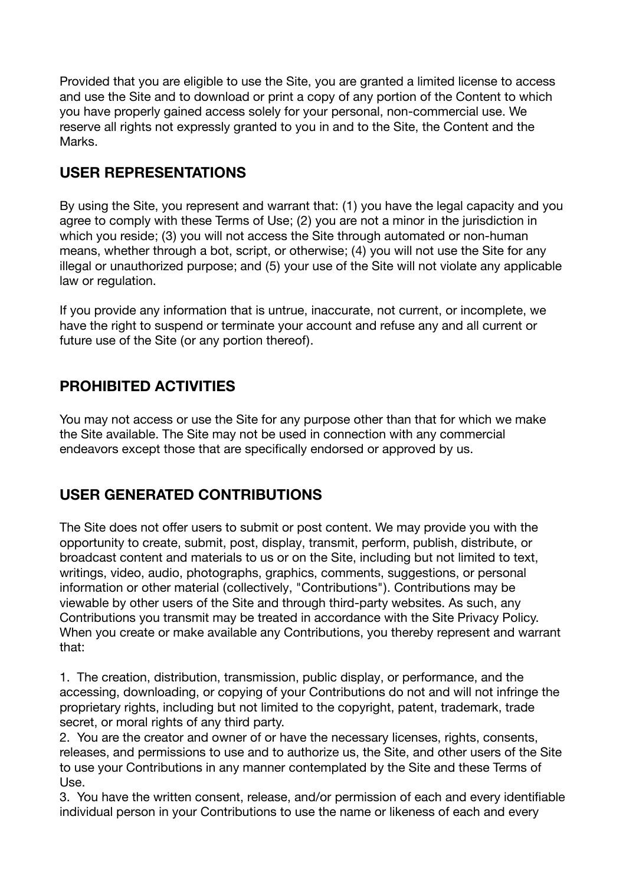Provided that you are eligible to use the Site, you are granted a limited license to access and use the Site and to download or print a copy of any portion of the Content to which you have properly gained access solely for your personal, non-commercial use. We reserve all rights not expressly granted to you in and to the Site, the Content and the Marks.

### **USER REPRESENTATIONS**

By using the Site, you represent and warrant that: (1) you have the legal capacity and you agree to comply with these Terms of Use; (2) you are not a minor in the jurisdiction in which you reside; (3) you will not access the Site through automated or non-human means, whether through a bot, script, or otherwise; (4) you will not use the Site for any illegal or unauthorized purpose; and (5) your use of the Site will not violate any applicable law or regulation.

If you provide any information that is untrue, inaccurate, not current, or incomplete, we have the right to suspend or terminate your account and refuse any and all current or future use of the Site (or any portion thereof).

### **PROHIBITED ACTIVITIES**

You may not access or use the Site for any purpose other than that for which we make the Site available. The Site may not be used in connection with any commercial endeavors except those that are specifically endorsed or approved by us.

#### **USER GENERATED CONTRIBUTIONS**

The Site does not offer users to submit or post content. We may provide you with the opportunity to create, submit, post, display, transmit, perform, publish, distribute, or broadcast content and materials to us or on the Site, including but not limited to text, writings, video, audio, photographs, graphics, comments, suggestions, or personal information or other material (collectively, "Contributions"). Contributions may be viewable by other users of the Site and through third-party websites. As such, any Contributions you transmit may be treated in accordance with the Site Privacy Policy. When you create or make available any Contributions, you thereby represent and warrant that:

1. The creation, distribution, transmission, public display, or performance, and the accessing, downloading, or copying of your Contributions do not and will not infringe the proprietary rights, including but not limited to the copyright, patent, trademark, trade secret, or moral rights of any third party.

2. You are the creator and owner of or have the necessary licenses, rights, consents, releases, and permissions to use and to authorize us, the Site, and other users of the Site to use your Contributions in any manner contemplated by the Site and these Terms of Use.

3. You have the written consent, release, and/or permission of each and every identifiable individual person in your Contributions to use the name or likeness of each and every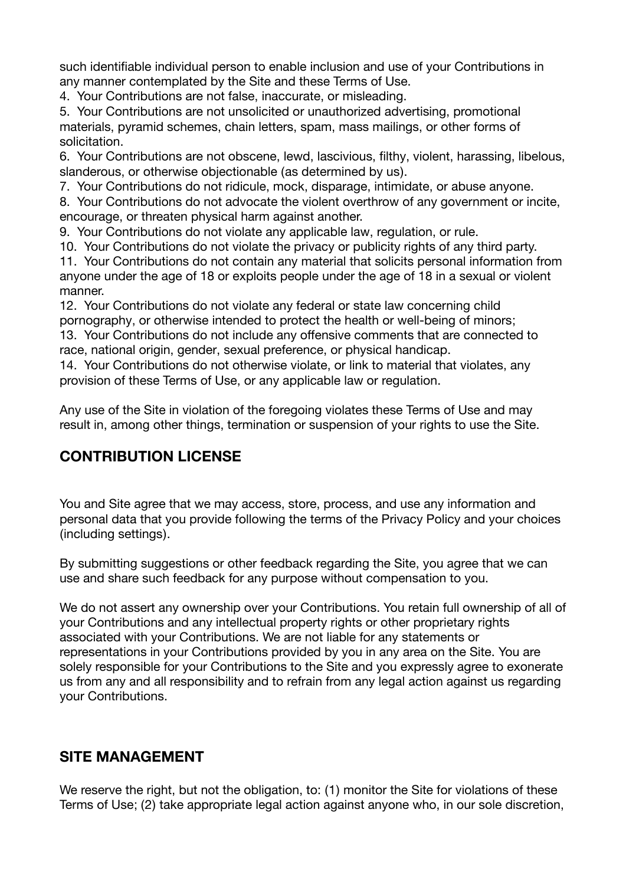such identifiable individual person to enable inclusion and use of your Contributions in any manner contemplated by the Site and these Terms of Use.

4. Your Contributions are not false, inaccurate, or misleading.

5. Your Contributions are not unsolicited or unauthorized advertising, promotional materials, pyramid schemes, chain letters, spam, mass mailings, or other forms of solicitation.

6. Your Contributions are not obscene, lewd, lascivious, filthy, violent, harassing, libelous, slanderous, or otherwise objectionable (as determined by us).

7. Your Contributions do not ridicule, mock, disparage, intimidate, or abuse anyone.

8. Your Contributions do not advocate the violent overthrow of any government or incite, encourage, or threaten physical harm against another.

9. Your Contributions do not violate any applicable law, regulation, or rule.

10. Your Contributions do not violate the privacy or publicity rights of any third party.

11. Your Contributions do not contain any material that solicits personal information from anyone under the age of 18 or exploits people under the age of 18 in a sexual or violent manner.

12. Your Contributions do not violate any federal or state law concerning child pornography, or otherwise intended to protect the health or well-being of minors;

13. Your Contributions do not include any offensive comments that are connected to race, national origin, gender, sexual preference, or physical handicap.

14. Your Contributions do not otherwise violate, or link to material that violates, any provision of these Terms of Use, or any applicable law or regulation.

Any use of the Site in violation of the foregoing violates these Terms of Use and may result in, among other things, termination or suspension of your rights to use the Site.

# **CONTRIBUTION LICENSE**

You and Site agree that we may access, store, process, and use any information and personal data that you provide following the terms of the Privacy Policy and your choices (including settings).

By submitting suggestions or other feedback regarding the Site, you agree that we can use and share such feedback for any purpose without compensation to you.

We do not assert any ownership over your Contributions. You retain full ownership of all of your Contributions and any intellectual property rights or other proprietary rights associated with your Contributions. We are not liable for any statements or representations in your Contributions provided by you in any area on the Site. You are solely responsible for your Contributions to the Site and you expressly agree to exonerate us from any and all responsibility and to refrain from any legal action against us regarding your Contributions.

#### **SITE MANAGEMENT**

We reserve the right, but not the obligation, to: (1) monitor the Site for violations of these Terms of Use; (2) take appropriate legal action against anyone who, in our sole discretion,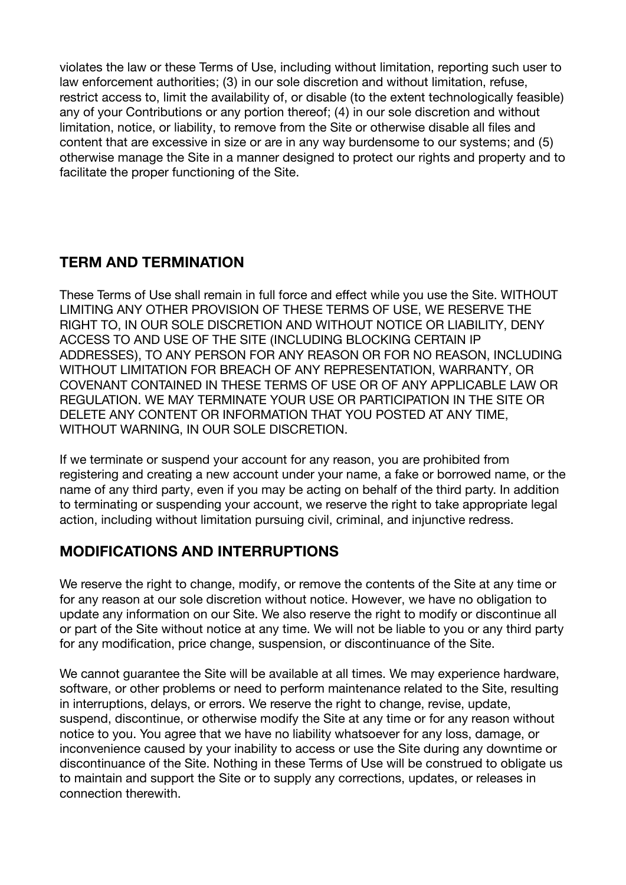violates the law or these Terms of Use, including without limitation, reporting such user to law enforcement authorities; (3) in our sole discretion and without limitation, refuse, restrict access to, limit the availability of, or disable (to the extent technologically feasible) any of your Contributions or any portion thereof; (4) in our sole discretion and without limitation, notice, or liability, to remove from the Site or otherwise disable all files and content that are excessive in size or are in any way burdensome to our systems; and (5) otherwise manage the Site in a manner designed to protect our rights and property and to facilitate the proper functioning of the Site.

# **TERM AND TERMINATION**

These Terms of Use shall remain in full force and effect while you use the Site. WITHOUT LIMITING ANY OTHER PROVISION OF THESE TERMS OF USE, WE RESERVE THE RIGHT TO, IN OUR SOLE DISCRETION AND WITHOUT NOTICE OR LIABILITY, DENY ACCESS TO AND USE OF THE SITE (INCLUDING BLOCKING CERTAIN IP ADDRESSES), TO ANY PERSON FOR ANY REASON OR FOR NO REASON, INCLUDING WITHOUT LIMITATION FOR BREACH OF ANY REPRESENTATION, WARRANTY, OR COVENANT CONTAINED IN THESE TERMS OF USE OR OF ANY APPLICABLE LAW OR REGULATION. WE MAY TERMINATE YOUR USE OR PARTICIPATION IN THE SITE OR DELETE ANY CONTENT OR INFORMATION THAT YOU POSTED AT ANY TIME, WITHOUT WARNING, IN OUR SOLE DISCRETION.

If we terminate or suspend your account for any reason, you are prohibited from registering and creating a new account under your name, a fake or borrowed name, or the name of any third party, even if you may be acting on behalf of the third party. In addition to terminating or suspending your account, we reserve the right to take appropriate legal action, including without limitation pursuing civil, criminal, and injunctive redress.

# **MODIFICATIONS AND INTERRUPTIONS**

We reserve the right to change, modify, or remove the contents of the Site at any time or for any reason at our sole discretion without notice. However, we have no obligation to update any information on our Site. We also reserve the right to modify or discontinue all or part of the Site without notice at any time. We will not be liable to you or any third party for any modification, price change, suspension, or discontinuance of the Site.

We cannot guarantee the Site will be available at all times. We may experience hardware, software, or other problems or need to perform maintenance related to the Site, resulting in interruptions, delays, or errors. We reserve the right to change, revise, update, suspend, discontinue, or otherwise modify the Site at any time or for any reason without notice to you. You agree that we have no liability whatsoever for any loss, damage, or inconvenience caused by your inability to access or use the Site during any downtime or discontinuance of the Site. Nothing in these Terms of Use will be construed to obligate us to maintain and support the Site or to supply any corrections, updates, or releases in connection therewith.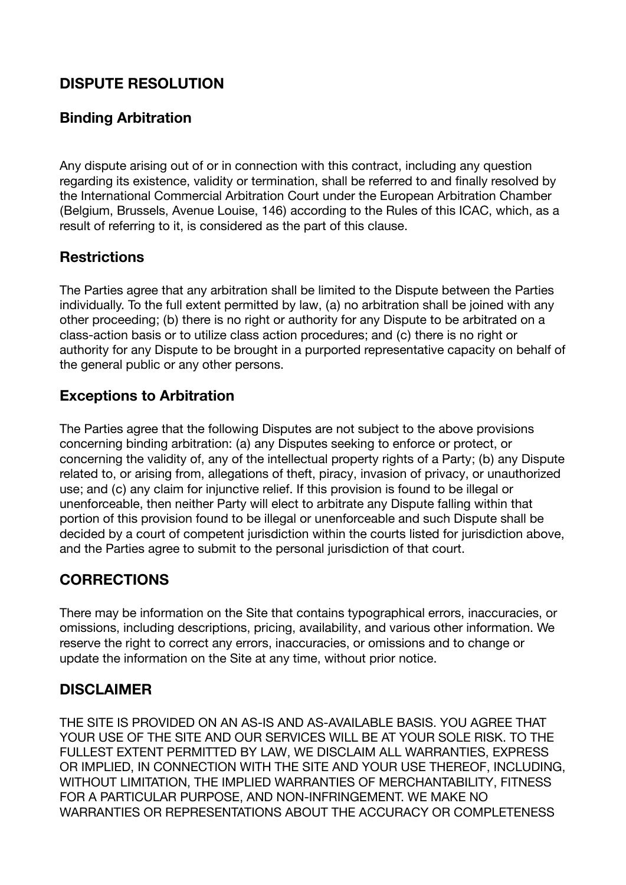# **DISPUTE RESOLUTION**

### **Binding Arbitration**

Any dispute arising out of or in connection with this contract, including any question regarding its existence, validity or termination, shall be referred to and finally resolved by the International Commercial Arbitration Court under the European Arbitration Chamber (Belgium, Brussels, Avenue Louise, 146) according to the Rules of this ICAC, which, as a result of referring to it, is considered as the part of this clause.

### **Restrictions**

The Parties agree that any arbitration shall be limited to the Dispute between the Parties individually. To the full extent permitted by law, (a) no arbitration shall be joined with any other proceeding; (b) there is no right or authority for any Dispute to be arbitrated on a class-action basis or to utilize class action procedures; and (c) there is no right or authority for any Dispute to be brought in a purported representative capacity on behalf of the general public or any other persons.

#### **Exceptions to Arbitration**

The Parties agree that the following Disputes are not subject to the above provisions concerning binding arbitration: (a) any Disputes seeking to enforce or protect, or concerning the validity of, any of the intellectual property rights of a Party; (b) any Dispute related to, or arising from, allegations of theft, piracy, invasion of privacy, or unauthorized use; and (c) any claim for injunctive relief. If this provision is found to be illegal or unenforceable, then neither Party will elect to arbitrate any Dispute falling within that portion of this provision found to be illegal or unenforceable and such Dispute shall be decided by a court of competent jurisdiction within the courts listed for jurisdiction above, and the Parties agree to submit to the personal jurisdiction of that court.

# **CORRECTIONS**

There may be information on the Site that contains typographical errors, inaccuracies, or omissions, including descriptions, pricing, availability, and various other information. We reserve the right to correct any errors, inaccuracies, or omissions and to change or update the information on the Site at any time, without prior notice.

#### **DISCLAIMER**

THE SITE IS PROVIDED ON AN AS-IS AND AS-AVAILABLE BASIS. YOU AGREE THAT YOUR USE OF THE SITE AND OUR SERVICES WILL BE AT YOUR SOLE RISK. TO THE FULLEST EXTENT PERMITTED BY LAW, WE DISCLAIM ALL WARRANTIES, EXPRESS OR IMPLIED, IN CONNECTION WITH THE SITE AND YOUR USE THEREOF, INCLUDING, WITHOUT LIMITATION, THE IMPLIED WARRANTIES OF MERCHANTABILITY, FITNESS FOR A PARTICULAR PURPOSE, AND NON-INFRINGEMENT. WE MAKE NO WARRANTIES OR REPRESENTATIONS ABOUT THE ACCURACY OR COMPLETENESS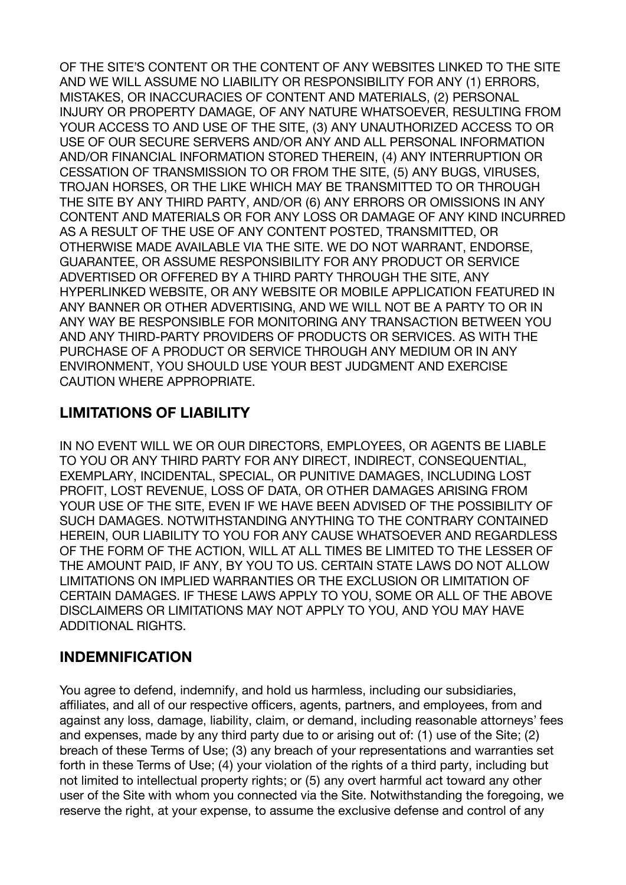OF THE SITE'S CONTENT OR THE CONTENT OF ANY WEBSITES LINKED TO THE SITE AND WE WILL ASSUME NO LIABILITY OR RESPONSIBILITY FOR ANY (1) ERRORS, MISTAKES, OR INACCURACIES OF CONTENT AND MATERIALS, (2) PERSONAL INJURY OR PROPERTY DAMAGE, OF ANY NATURE WHATSOEVER, RESULTING FROM YOUR ACCESS TO AND USE OF THE SITE, (3) ANY UNAUTHORIZED ACCESS TO OR USE OF OUR SECURE SERVERS AND/OR ANY AND ALL PERSONAL INFORMATION AND/OR FINANCIAL INFORMATION STORED THEREIN, (4) ANY INTERRUPTION OR CESSATION OF TRANSMISSION TO OR FROM THE SITE, (5) ANY BUGS, VIRUSES, TROJAN HORSES, OR THE LIKE WHICH MAY BE TRANSMITTED TO OR THROUGH THE SITE BY ANY THIRD PARTY, AND/OR (6) ANY ERRORS OR OMISSIONS IN ANY CONTENT AND MATERIALS OR FOR ANY LOSS OR DAMAGE OF ANY KIND INCURRED AS A RESULT OF THE USE OF ANY CONTENT POSTED, TRANSMITTED, OR OTHERWISE MADE AVAILABLE VIA THE SITE. WE DO NOT WARRANT, ENDORSE, GUARANTEE, OR ASSUME RESPONSIBILITY FOR ANY PRODUCT OR SERVICE ADVERTISED OR OFFERED BY A THIRD PARTY THROUGH THE SITE, ANY HYPERLINKED WEBSITE, OR ANY WEBSITE OR MOBILE APPLICATION FEATURED IN ANY BANNER OR OTHER ADVERTISING, AND WE WILL NOT BE A PARTY TO OR IN ANY WAY BE RESPONSIBLE FOR MONITORING ANY TRANSACTION BETWEEN YOU AND ANY THIRD-PARTY PROVIDERS OF PRODUCTS OR SERVICES. AS WITH THE PURCHASE OF A PRODUCT OR SERVICE THROUGH ANY MEDIUM OR IN ANY ENVIRONMENT, YOU SHOULD USE YOUR BEST JUDGMENT AND EXERCISE CAUTION WHERE APPROPRIATE.

# **LIMITATIONS OF LIABILITY**

IN NO EVENT WILL WE OR OUR DIRECTORS, EMPLOYEES, OR AGENTS BE LIABLE TO YOU OR ANY THIRD PARTY FOR ANY DIRECT, INDIRECT, CONSEQUENTIAL, EXEMPLARY, INCIDENTAL, SPECIAL, OR PUNITIVE DAMAGES, INCLUDING LOST PROFIT, LOST REVENUE, LOSS OF DATA, OR OTHER DAMAGES ARISING FROM YOUR USE OF THE SITE, EVEN IF WE HAVE BEEN ADVISED OF THE POSSIBILITY OF SUCH DAMAGES. NOTWITHSTANDING ANYTHING TO THE CONTRARY CONTAINED HEREIN, OUR LIABILITY TO YOU FOR ANY CAUSE WHATSOEVER AND REGARDLESS OF THE FORM OF THE ACTION, WILL AT ALL TIMES BE LIMITED TO THE LESSER OF THE AMOUNT PAID, IF ANY, BY YOU TO US. CERTAIN STATE LAWS DO NOT ALLOW LIMITATIONS ON IMPLIED WARRANTIES OR THE EXCLUSION OR LIMITATION OF CERTAIN DAMAGES. IF THESE LAWS APPLY TO YOU, SOME OR ALL OF THE ABOVE DISCLAIMERS OR LIMITATIONS MAY NOT APPLY TO YOU, AND YOU MAY HAVE ADDITIONAL RIGHTS.

# **INDEMNIFICATION**

You agree to defend, indemnify, and hold us harmless, including our subsidiaries, affiliates, and all of our respective officers, agents, partners, and employees, from and against any loss, damage, liability, claim, or demand, including reasonable attorneys' fees and expenses, made by any third party due to or arising out of: (1) use of the Site; (2) breach of these Terms of Use; (3) any breach of your representations and warranties set forth in these Terms of Use; (4) your violation of the rights of a third party, including but not limited to intellectual property rights; or (5) any overt harmful act toward any other user of the Site with whom you connected via the Site. Notwithstanding the foregoing, we reserve the right, at your expense, to assume the exclusive defense and control of any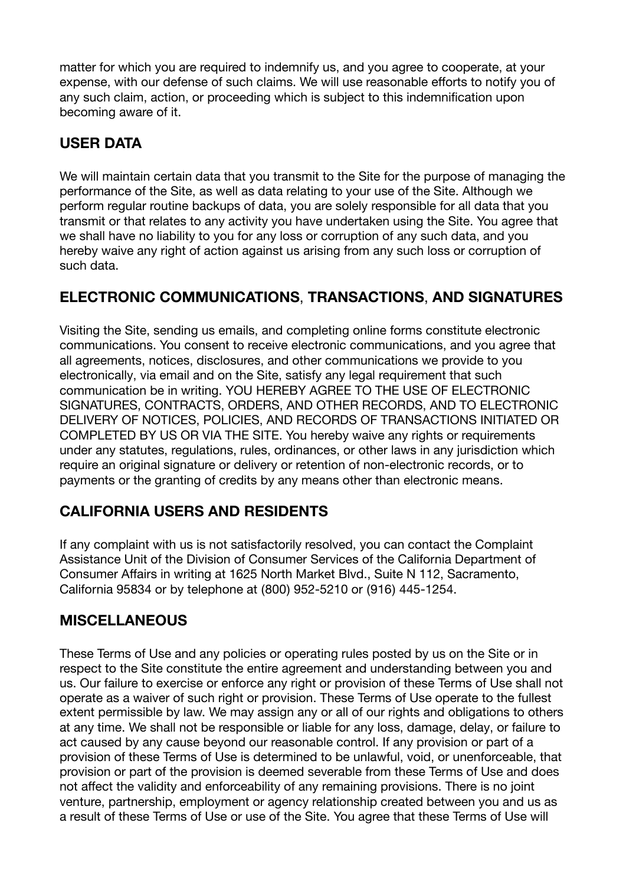matter for which you are required to indemnify us, and you agree to cooperate, at your expense, with our defense of such claims. We will use reasonable efforts to notify you of any such claim, action, or proceeding which is subject to this indemnification upon becoming aware of it.

# **USER DATA**

We will maintain certain data that you transmit to the Site for the purpose of managing the performance of the Site, as well as data relating to your use of the Site. Although we perform regular routine backups of data, you are solely responsible for all data that you transmit or that relates to any activity you have undertaken using the Site. You agree that we shall have no liability to you for any loss or corruption of any such data, and you hereby waive any right of action against us arising from any such loss or corruption of such data.

# **ELECTRONIC COMMUNICATIONS**, **TRANSACTIONS**, **AND SIGNATURES**

Visiting the Site, sending us emails, and completing online forms constitute electronic communications. You consent to receive electronic communications, and you agree that all agreements, notices, disclosures, and other communications we provide to you electronically, via email and on the Site, satisfy any legal requirement that such communication be in writing. YOU HEREBY AGREE TO THE USE OF ELECTRONIC SIGNATURES, CONTRACTS, ORDERS, AND OTHER RECORDS, AND TO ELECTRONIC DELIVERY OF NOTICES, POLICIES, AND RECORDS OF TRANSACTIONS INITIATED OR COMPLETED BY US OR VIA THE SITE. You hereby waive any rights or requirements under any statutes, regulations, rules, ordinances, or other laws in any jurisdiction which require an original signature or delivery or retention of non-electronic records, or to payments or the granting of credits by any means other than electronic means.

# **CALIFORNIA USERS AND RESIDENTS**

If any complaint with us is not satisfactorily resolved, you can contact the Complaint Assistance Unit of the Division of Consumer Services of the California Department of Consumer Affairs in writing at 1625 North Market Blvd., Suite N 112, Sacramento, California 95834 or by telephone at (800) 952-5210 or (916) 445-1254.

# **MISCELLANEOUS**

These Terms of Use and any policies or operating rules posted by us on the Site or in respect to the Site constitute the entire agreement and understanding between you and us. Our failure to exercise or enforce any right or provision of these Terms of Use shall not operate as a waiver of such right or provision. These Terms of Use operate to the fullest extent permissible by law. We may assign any or all of our rights and obligations to others at any time. We shall not be responsible or liable for any loss, damage, delay, or failure to act caused by any cause beyond our reasonable control. If any provision or part of a provision of these Terms of Use is determined to be unlawful, void, or unenforceable, that provision or part of the provision is deemed severable from these Terms of Use and does not affect the validity and enforceability of any remaining provisions. There is no joint venture, partnership, employment or agency relationship created between you and us as a result of these Terms of Use or use of the Site. You agree that these Terms of Use will